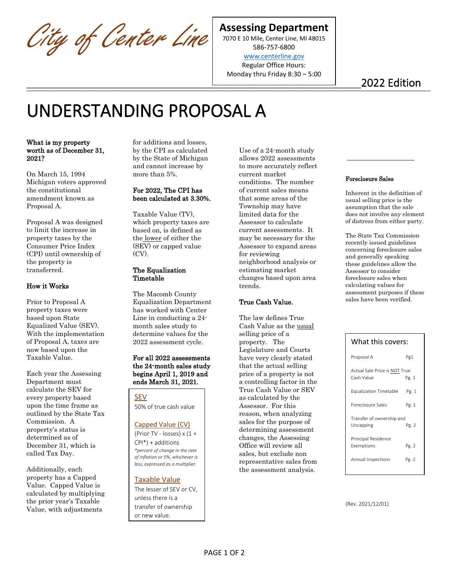City of Center Line

## **Assessing Department**

7070 E 10 Mile, Center Line, MI 48015 586-757-6800

[www.centerline.gov](http://www.centerline.gov/) Regular Office Hours: Monday thru Friday 8:30 – 5:00

\_\_\_\_\_\_\_\_\_\_\_\_\_\_\_\_\_\_\_\_\_\_\_\_\_\_\_\_\_\_\_\_\_\_\_\_\_\_\_\_\_\_\_\_\_\_\_\_\_\_\_\_\_\_\_\_\_\_\_\_\_\_\_\_\_2022 Edition

# UNDERSTANDING PROPOSAL A

What is my property worth as of December 31, 2021?

On March 15, 1994 Michigan voters approved the constitutional amendment known as Proposal A.

Proposal A was designed to limit the increase in property taxes by the Consumer Price Index (CPI) until ownership of the property is transferred.

## How it Works

Prior to Proposal A property taxes were based upon State Equalized Value (SEV). With the implementation of Proposal A, taxes are now based upon the Taxable Value.

Each year the Assessing Department must calculate the SEV for every property based upon the time frame as outlined by the State Tax Commission. A property's status is determined as of December 31, which is called Tax Day.

Additionally, each property has a Capped Value. Capped Value is calculated by multiplying the prior year's Taxable Value, with adjustments

for additions and losses, by the CPI as calculated by the State of Michigan and cannot increase by more than 5%.

## For 2022, The CPI has been calculated at 3.30%.

Taxable Value (TV), which property taxes are based on, is defined as the lower of either the (SEV) or capped value (CV).

#### The Equalization Timetable

The Macomb County Equalization Department has worked with Center Line in conducting a 24 month sales study to determine values for the 2022 assessment cycle.

#### For all 2022 assessments the 24-month sales study begins April 1, 2019 and ends March 31, 2021.

SEV 50% of true cash value

## Capped Value (CV)

(Prior TV - losses) x (1 + CPI\*) + additions

*\*percent of change in the rate of inflation or 5%, whichever is less, expressed as a multiplier.*

## Taxable Value

The lesser of SEV or CV, unless there is a transfer of ownership or new value.

Use of a 24-month study allows 2022 assessments to more accurately reflect current market conditions. The number of current sales means that some areas of the Township may have limited data for the Assessor to calculate current assessments. It may be necessary for the Assessor to expand areas for reviewing neighborhood analysis or estimating market changes based upon area trends.

## True Cash Value.

The law defines True Cash Value as the **usual** selling price of a property. The Legislature and Courts have very clearly stated that the actual selling price of a property is not a controlling factor in the True Cash Value or SEV as calculated by the Assessor. For this reason, when analyzing sales for the purpose of determining assessment changes, the Assessing Office will review all sales, but exclude non representative sales from the assessment analysis.

#### Foreclosure Sales

Inherent in the definition of usual selling price is the assumption that the sale does not involve any element of distress from either party.

The State Tax Commission recently issued guidelines concerning foreclosure sales and generally speaking these guidelines allow the Assessor to consider foreclosure sales when calculating values for assessment purposes if these sales have been verified.

| What this covers:                           |       |
|---------------------------------------------|-------|
| Proposal A                                  | Pg1   |
| Actual Sale Price is NOT True<br>Cash Value | Pg. 1 |
| <b>Equalization Timetable</b>               | Pg. 1 |
| Foreclosure Sales                           | Pg. 1 |
| Transfer of ownership and<br>Uncapping      | Pg. 2 |
| Principal Residence<br>Exemptions           | Pg. 2 |
| Annual Inspections                          | Pg. 2 |

(Rev. 2021/12/01)